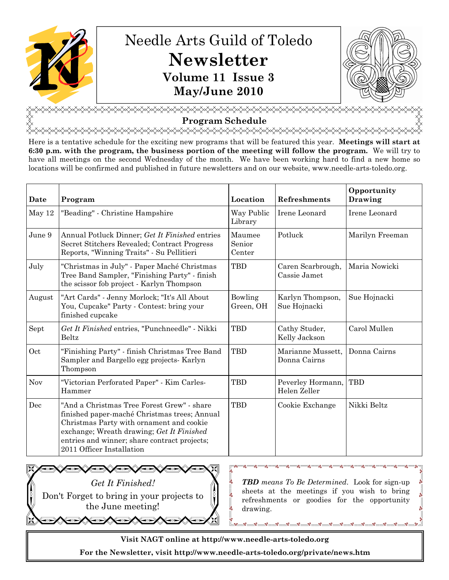

<u></u> **Program Schedule**<br>۞۞۞۞۞۞۞۞۞۞۞۞۞۞۞

Here is a tentative schedule for the exciting new programs that will be featured this year. Meetings will start at 6:30 p.m. with the program, the business portion of the meeting will follow the program. We will try to have all meetings on the second Wednesday of the month. We have been working hard to find a new home so

locations will be confirmed and published in future newsletters and on our website, www.needle-arts-toledo.org.

Date Program Location Refreshments **Opportunity** Drawing May 12 | "Beading" - Christine Hampshire | Way Public Library Irene Leonard Irene Leonard June 9 Annual Potluck Dinner: Get It Finished entries Secret Stitchers Revealed; Contract Progress Reports, "Winning Traits" - Su Pellitieri Maumee Senior Center Potluck Marilyn Freeman July "Christmas in July" - Paper Maché Christmas Tree Band Sampler, "Finishing Party" - finish the scissor fob project - Karlyn Thompson TBD Caren Scarbrough, Cassie Jamet Maria Nowicki August "Art Cards" - Jenny Morlock; "It's All About You, Cupcake" Party - Contest: bring your finished cupcake Bowling Green, OH Karlyn Thompson, Sue Hojnacki Sue Hojnacki Sept  $\int$  *Get It Finished* entries, "Punchneedle" - Nikki Beltz TBD Cathy Studer, Kelly Jackson Carol Mullen Oct "Finishing Party" - finish Christmas Tree Band Sampler and Bargello egg projects- Karlyn Thompson TBD Marianne Mussett, Donna Cairns Donna Cairns Nov "Victorian Perforated Paper" - Kim Carles-Hammer TBD Peverley Hormann, Helen Zeller TBD Dec "And a Christmas Tree Forest Grew" - share finished paper-maché Christmas trees; Annual Christmas Party with ornament and cookie exchange; Wreath drawing; Get It Finished entries and winner; share contract projects; 2011 Officer Installation TBD Cookie Exchange Nikki Beltz



**TBD** means To Be Determined. Look for sign-up sheets at the meetings if you wish to bring refreshments or goodies for the opportunity drawing.

Visit NAGT online at http://www.needle-arts-toledo.org

。<br>。

For the Newsletter, visit http://www.needle-arts-toledo.org/private/news.htm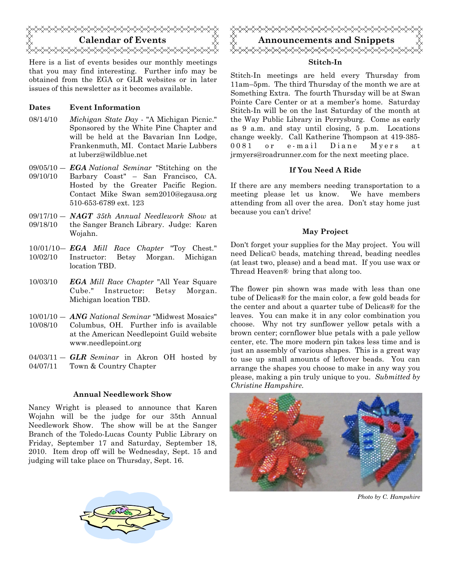

Here is a list of events besides our monthly meetings that you may find interesting. Further info may be obtained from the EGA or GLR websites or in later issues of this newsletter as it becomes available.

#### Dates Event Information

- 08/14/10 Michigan State Day "A Michigan Picnic." Sponsored by the White Pine Chapter and will be held at the Bavarian Inn Lodge, Frankenmuth, MI. Contact Marie Lubbers at luberz@wildblue.net
- $09/05/10 EGA National\quad$  "Stitching on the 09/10/10 Barbary Coast" – San Francisco, CA. Hosted by the Greater Pacific Region. Contact Mike Swan sem2010@egausa.org 510-653-6789 ext. 123
- $09/17/10 NAGT$  35th Annual Needlework Show at 09/18/10 the Sanger Branch Library. Judge: Karen Wojahn.
- 10/01/10- EGA Mill Race Chapter "Toy Chest." 10/02/10 Instructor: Betsy Morgan. Michigan location TBD.
- 10/03/10 EGA Mill Race Chapter "All Year Square Cube." Instructor: Betsy Morgan. Michigan location TBD.
- 10/01/10 ANG National Seminar "Midwest Mosaics" 10/08/10 Columbus, OH. Further info is available at the American Needlepoint Guild website www.needlepoint.org
- $04/03/11 GLR$  Seminar in Akron OH hosted by 04/07/11 Town & Country Chapter

#### Annual Needlework Show

Nancy Wright is pleased to announce that Karen Wojahn will be the judge for our 35th Annual Needlework Show. The show will be at the Sanger Branch of the Toledo-Lucas County Public Library on Friday, September 17 and Saturday, September 18, 2010. Item drop off will be Wednesday, Sept. 15 and judging will take place on Thursday, Sept. 16.



#### Stitch-In

Stitch-In meetings are held every Thursday from 11am–5pm. The third Thursday of the month we are at Something Extra. The fourth Thursday will be at Swan Pointe Care Center or at a member's home. Saturday Stitch-In will be on the last Saturday of the month at the Way Public Library in Perrysburg. Come as early as 9 a.m. and stay until closing, 5 p.m. Locations change weekly. Call Katherine Thompson at 419-385- 0081 or e-mail Diane Myers at jrmyers@roadrunner.com for the next meeting place.

#### If You Need A Ride

If there are any members needing transportation to a meeting please let us know. We have members attending from all over the area. Don't stay home just because you can't drive!

#### May Project

Don't forget your supplies for the May project. You will need Delica© beads, matching thread, beading needles (at least two, please) and a bead mat. If you use wax or Thread Heaven® bring that along too.

The flower pin shown was made with less than one tube of Delicas® for the main color, a few gold beads for the center and about a quarter tube of Delicas® for the leaves. You can make it in any color combination you choose. Why not try sunflower yellow petals with a brown center; cornflower blue petals with a pale yellow center, etc. The more modern pin takes less time and is just an assembly of various shapes. This is a great way to use up small amounts of leftover beads. You can arrange the shapes you choose to make in any way you please, making a pin truly unique to you. Submitted by Christine Hampshire.



Photo by C. Hampshire

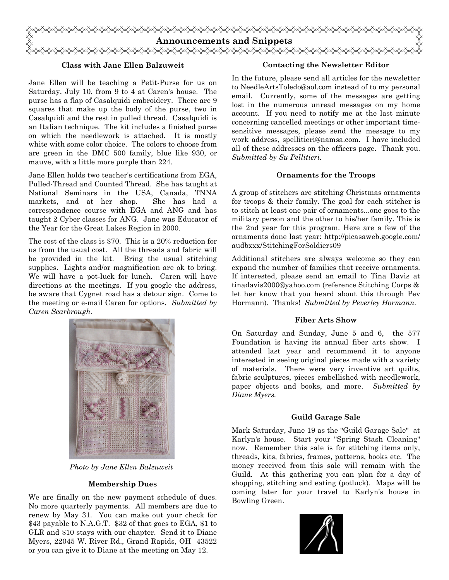

#### Class with Jane Ellen Balzuweit

Jane Ellen will be teaching a Petit-Purse for us on Saturday, July 10, from 9 to 4 at Caren's house. The purse has a flap of Casalquidi embroidery. There are 9 squares that make up the body of the purse, two in Casalquidi and the rest in pulled thread. Casalquidi is an Italian technique. The kit includes a finished purse on which the needlework is attached. It is mostly white with some color choice. The colors to choose from are green in the DMC 500 family, blue like 930, or mauve, with a little more purple than 224.

Jane Ellen holds two teacher's certifications from EGA, Pulled-Thread and Counted Thread. She has taught at National Seminars in the USA, Canada, TNNA markets, and at her shop. She has had a correspondence course with EGA and ANG and has taught 2 Cyber classes for ANG. Jane was Educator of the Year for the Great Lakes Region in 2000.

The cost of the class is \$70. This is a 20% reduction for us from the usual cost. All the threads and fabric will be provided in the kit. Bring the usual stitching supplies. Lights and/or magnification are ok to bring. We will have a pot-luck for lunch. Caren will have directions at the meetings. If you google the address, be aware that Cygnet road has a detour sign. Come to the meeting or e-mail Caren for options. Submitted by Caren Scarbrough.



Photo by Jane Ellen Balzuweit

# Membership Dues

We are finally on the new payment schedule of dues. No more quarterly payments. All members are due to renew by May 31. You can make out your check for \$43 payable to N.A.G.T. \$32 of that goes to EGA, \$1 to GLR and \$10 stays with our chapter. Send it to Diane Myers, 22045 W. River Rd., Grand Rapids, OH 43522 or you can give it to Diane at the meeting on May 12.

#### Contacting the Newsletter Editor

In the future, please send all articles for the newsletter to NeedleArtsToledo@aol.com instead of to my personal email. Currently, some of the messages are getting lost in the numerous unread messages on my home account. If you need to notify me at the last minute concerning cancelled meetings or other important timesensitive messages, please send the message to my work address, spellitieri@namsa.com. I have included all of these addresses on the officers page. Thank you. Submitted by Su Pellitieri.

#### Ornaments for the Troops

A group of stitchers are stitching Christmas ornaments for troops & their family. The goal for each stitcher is to stitch at least one pair of ornaments...one goes to the military person and the other to his/her family. This is the 2nd year for this program. Here are a few of the ornaments done last year: http://picasaweb.google.com/ audbxxx/StitchingForSoldiers09

Additional stitchers are always welcome so they can expand the number of families that receive ornaments. If interested, please send an email to Tina Davis at tinadavis2000@yahoo.com (reference Stitching Corps & let her know that you heard about this through Pev Hormann). Thanks! Submitted by Peverley Hormann.

# Fiber Arts Show

On Saturday and Sunday, June 5 and 6, the 577 Foundation is having its annual fiber arts show. I attended last year and recommend it to anyone interested in seeing original pieces made with a variety of materials. There were very inventive art quilts, fabric sculptures, pieces embellished with needlework, paper objects and books, and more. Submitted by Diane Myers.

#### Guild Garage Sale

Mark Saturday, June 19 as the "Guild Garage Sale" at Karlyn's house. Start your "Spring Stash Cleaning" now. Remember this sale is for stitching items only, threads, kits, fabrics, frames, patterns, books etc. The money received from this sale will remain with the Guild. At this gathering you can plan for a day of shopping, stitching and eating (potluck). Maps will be coming later for your travel to Karlyn's house in Bowling Green.

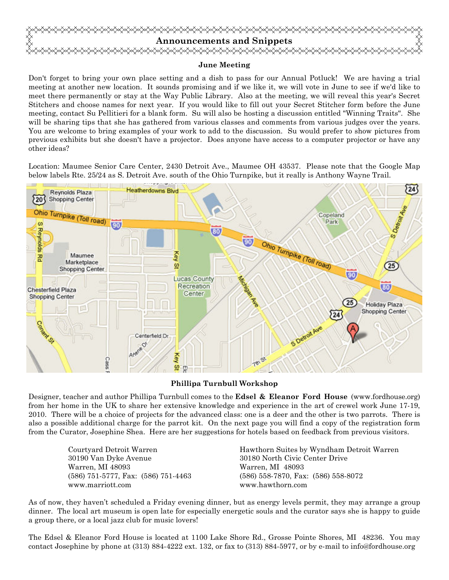

#### June Meeting

Don't forget to bring your own place setting and a dish to pass for our Annual Potluck! We are having a trial meeting at another new location. It sounds promising and if we like it, we will vote in June to see if we'd like to meet there permanently or stay at the Way Public Library. Also at the meeting, we will reveal this year's Secret Stitchers and choose names for next year. If you would like to fill out your Secret Stitcher form before the June meeting, contact Su Pellitieri for a blank form. Su will also be hosting a discussion entitled "Winning Traits". She will be sharing tips that she has gathered from various classes and comments from various judges over the years. You are welcome to bring examples of your work to add to the discussion. Su would prefer to show pictures from previous exhibits but she doesn't have a projector. Does anyone have access to a computer projector or have any other ideas?

Location: Maumee Senior Care Center, 2430 Detroit Ave., Maumee OH 43537. Please note that the Google Map below labels Rte. 25/24 as S. Detroit Ave. south of the Ohio Turnpike, but it really is Anthony Wayne Trail.



# Phillipa Turnbull Workshop

Designer, teacher and author Phillipa Turnbull comes to the **Edsel & Eleanor Ford House** (www.fordhouse.org) from her home in the UK to share her extensive knowledge and experience in the art of crewel work June 17-19, 2010. There will be a choice of projects for the advanced class: one is a deer and the other is two parrots. There is also a possible additional charge for the parrot kit. On the next page you will find a copy of the registration form from the Curator, Josephine Shea. Here are her suggestions for hotels based on feedback from previous visitors.

> 30190 Van Dyke Avenue 30180 North Civic Center Drive Warren, MI 48093 Warren, MI 48093 www.marriott.com www.hawthorn.com

 Courtyard Detroit Warren Hawthorn Suites by Wyndham Detroit Warren (586) 751-5777, Fax: (586) 751-4463 (586) 558-7870, Fax: (586) 558-8072

As of now, they haven't scheduled a Friday evening dinner, but as energy levels permit, they may arrange a group dinner. The local art museum is open late for especially energetic souls and the curator says she is happy to guide a group there, or a local jazz club for music lovers!

The Edsel & Eleanor Ford House is located at 1100 Lake Shore Rd., Grosse Pointe Shores, MI 48236. You may contact Josephine by phone at (313) 884-4222 ext. 132, or fax to (313) 884-5977, or by e-mail to info@fordhouse.org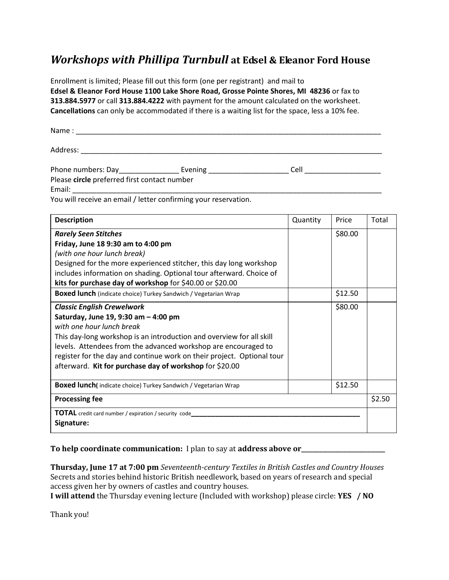# Workshops with Phillipa Turnbull at Edsel & Eleanor Ford House

Enrollment is limited; Please fill out this form (one per registrant) and mail to Edsel & Eleanor Ford House 1100 Lake Shore Road, Grosse Pointe Shores, MI 48236 or fax to 313.884.5977 or call 313.884.4222 with payment for the amount calculated on the worksheet. Cancellations can only be accommodated if there is a waiting list for the space, less a 10% fee.

| <b>Name</b><br>_____ |  |  | _ |  |
|----------------------|--|--|---|--|
|                      |  |  |   |  |

| Phone numbers: Day                           | Evening                                                        | Cell |  |  |  |  |  |  |
|----------------------------------------------|----------------------------------------------------------------|------|--|--|--|--|--|--|
| Please circle preferred first contact number |                                                                |      |  |  |  |  |  |  |
| Email:                                       |                                                                |      |  |  |  |  |  |  |
|                                              | Vou will receive an email / letter confirming your reservation |      |  |  |  |  |  |  |

You will receive an email / letter confirming your reservation.

Address: \_\_\_\_\_\_\_\_\_\_\_\_\_\_\_\_\_\_\_\_\_\_\_\_\_\_\_\_\_\_\_\_\_\_\_\_\_\_\_\_\_\_\_\_\_\_\_\_\_\_\_\_\_\_\_\_\_\_\_\_\_\_\_\_\_\_\_\_\_\_\_\_\_\_\_

| <b>Description</b>                                                     | Quantity | Price   | Total |  |
|------------------------------------------------------------------------|----------|---------|-------|--|
| <b>Rarely Seen Stitches</b>                                            |          | \$80.00 |       |  |
| Friday, June 18 9:30 am to 4:00 pm                                     |          |         |       |  |
| (with one hour lunch break)                                            |          |         |       |  |
| Designed for the more experienced stitcher, this day long workshop     |          |         |       |  |
| includes information on shading. Optional tour afterward. Choice of    |          |         |       |  |
| kits for purchase day of workshop for \$40.00 or \$20.00               |          |         |       |  |
| Boxed lunch (indicate choice) Turkey Sandwich / Vegetarian Wrap        |          | \$12.50 |       |  |
| <b>Classic English Crewelwork</b>                                      |          | \$80.00 |       |  |
| Saturday, June 19, 9:30 am - 4:00 pm                                   |          |         |       |  |
| with one hour lunch break                                              |          |         |       |  |
| This day-long workshop is an introduction and overview for all skill   |          |         |       |  |
| levels. Attendees from the advanced workshop are encouraged to         |          |         |       |  |
| register for the day and continue work on their project. Optional tour |          |         |       |  |
| afterward. Kit for purchase day of workshop for \$20.00                |          |         |       |  |
| Boxed lunch(indicate choice) Turkey Sandwich / Vegetarian Wrap         |          | \$12.50 |       |  |
| <b>Processing fee</b>                                                  |          |         |       |  |
| TOTAL credit card number / expiration / security code                  |          |         |       |  |
| Signature:                                                             |          |         |       |  |

To help coordinate communication: I plan to say at address above or\_\_\_\_\_\_\_\_\_\_\_\_\_\_

Thursday, June 17 at 7:00 pm Seventeenth-century Textiles in British Castles and Country Houses Secrets and stories behind historic British needlework, based on years of research and special access given her by owners of castles and country houses.

I will attend the Thursday evening lecture (Included with workshop) please circle: YES / NO

Thank you!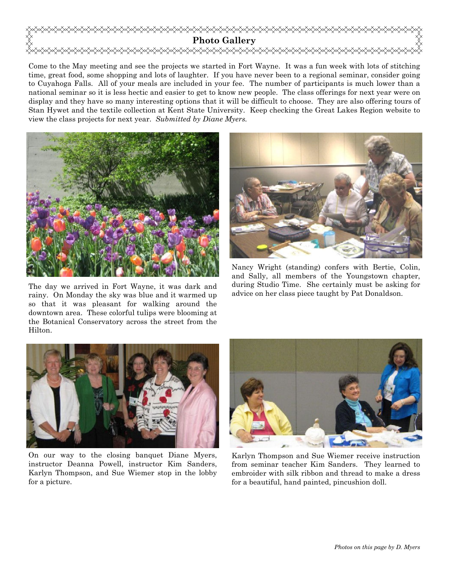

Come to the May meeting and see the projects we started in Fort Wayne. It was a fun week with lots of stitching time, great food, some shopping and lots of laughter. If you have never been to a regional seminar, consider going to Cuyahoga Falls. All of your meals are included in your fee. The number of participants is much lower than a national seminar so it is less hectic and easier to get to know new people. The class offerings for next year were on display and they have so many interesting options that it will be difficult to choose. They are also offering tours of Stan Hywet and the textile collection at Kent State University. Keep checking the Great Lakes Region website to view the class projects for next year. Submitted by Diane Myers.



The day we arrived in Fort Wayne, it was dark and rainy. On Monday the sky was blue and it warmed up so that it was pleasant for walking around the downtown area. These colorful tulips were blooming at the Botanical Conservatory across the street from the Hilton.



Nancy Wright (standing) confers with Bertie, Colin, and Sally, all members of the Youngstown chapter, during Studio Time. She certainly must be asking for advice on her class piece taught by Pat Donaldson.



On our way to the closing banquet Diane Myers, instructor Deanna Powell, instructor Kim Sanders, Karlyn Thompson, and Sue Wiemer stop in the lobby for a picture.



Karlyn Thompson and Sue Wiemer receive instruction from seminar teacher Kim Sanders. They learned to embroider with silk ribbon and thread to make a dress for a beautiful, hand painted, pincushion doll.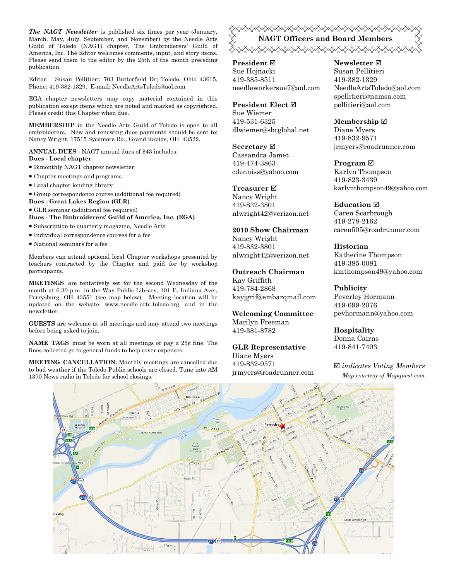The NAGT Newsletter is published six times per year (January, March, May, July, September, and November) by the Needle Arts Guild of Toledo (NAGT) chapter, The Embroiderers' Guild of America, Inc. The Editor welcomes comments, input, and story items. Please send them to the editor by the 25th of the month preceding publication.

Editor: Susan Pellitieri; 703 Butterfield Dr; Toledo, Ohio 43615, Phone: 419-382-1329, E-mail: NeedleArtsToledo@aol.com

EGA chapter newsletters may copy material contained in this publication except items which are noted and marked as copyrighted. Please credit this Chapter when due.

MEMBERSHIP in the Needle Arts Guild of Toledo is open to all embroiderers. New and renewing dues payments should be sent to: Nancy Wright, 17515 Sycamore Rd., Grand Rapids, OH 43522.

ANNUAL DUES - NAGT annual dues of \$43 includes: Dues - Local chapter

- Bimonthly NAGT chapter newsletter
- Chapter meetings and programs
- Local chapter lending library
- Group correspondence course (additional fee required)
- Dues Great Lakes Region (GLR)
- GLR seminar (additional fee required)

Dues - The Embroiderers' Guild of America, Inc. (EGA)

- Subscription to quarterly magazine, Needle Arts
- Individual correspondence courses for a fee
- National seminars for a fee

Members can attend optional local Chapter workshops presented by teachers contracted by the Chapter and paid for by workshop participants.

MEETINGS are tentatively set for the second Wednesday of the month at 6:30 p.m. in the Way Public Library, 101 E. Indiana Ave., Perrysburg, OH 43551 (see map below). Meeting location will be updated on the website, www.needle-arts-toledo.org, and in the newsletter.

GUESTS are welcome at all meetings and may attend two meetings before being asked to join.

**NAME TAGS** must be worn at all meetings or pay a  $25¢$  fine. The fines collected go to general funds to help cover expenses.

MEETING CANCELLATION: Monthly meetings are cancelled due to bad weather if the Toledo Public schools are closed. Tune into AM 1370 News radio in Toledo for school closings.

**«XXXXXXXXXXXXXXXXXXXXXXXXXX** NAGT Officers and Board Members 

President ⊠ Sue Hojnacki 419-385-8511 needleworkersue7@aol.com

#### President Elect Ø

Sue Wiemer 419-531-6325 dlwiemer@sbcglobal.net

Secretary  $\boxtimes$ 

Cassandra Jamet 419-474-3863 cdenniss@yahoo.com

#### Treasurer<sub> $⊓$ </sub>

Nancy Wright 419-832-3801 nlwright42@verizon.net

2010 Show Chairman Nancy Wright 419-832-3801 nlwright42@verizon.net

#### Outreach Chairman

Kay Griffith 419-784-2868 kayjgrif@embarqmail.com

Welcoming Committee Marilyn Freeman 419-381-8782

GLR Representative Diane Myers 419-832-9571 jrmyers@roadrunner.com Newsletter **Ø** Susan Pellitieri 419-382-1329 NeedleArtsToledo@aol.com spellitieri@namsa.com pellitieri@aol.com

Membership ⊠ Diane Myers

419-832-9571 jrmyers@roadrunner.com

Program **⊠** 

Karlyn Thompson 419-823-3439 karlynthompson49@yahoo.com

#### **Education** ⊠

Caren Scarbrough 419-278-2162 caren505@roadrunner.com

Historian Katherine Thompson 419-385-0081 kmthompson49@yahoo.com

#### Publicity

Peverley Hormann 419-699-2076 pevhormann@yahoo.com

Hospitality Donna Cairns 419-841-7403

 $\boxtimes$  indicates Voting Members Map courtesy of Mapquest.com